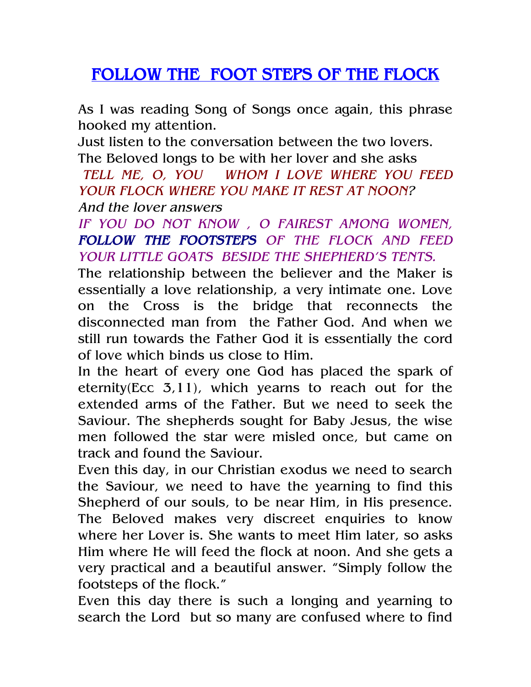## FOLLOW THE FOOT STEPS OF THE FLOCK

As I was reading Song of Songs once again, this phrase hooked my attention.

Just listen to the conversation between the two lovers. The Beloved longs to be with her lover and she asks

TELL ME, O, YOU WHOM I LOVE WHERE YOU FEED YOUR FLOCK WHERE YOU MAKE IT REST AT NOON?

And the lover answers

IF YOU DO NOT KNOW , O FAIREST AMONG WOMEN, FOLLOW THE FOOTSTEPS OF THE FLOCK AND FEED YOUR LITTLE GOATS BESIDE THE SHEPHERD'S TENTS.

The relationship between the believer and the Maker is essentially a love relationship, a very intimate one. Love on the Cross is the bridge that reconnects the disconnected man from the Father God. And when we still run towards the Father God it is essentially the cord of love which binds us close to Him.

In the heart of every one God has placed the spark of eternity(Ecc 3,11), which yearns to reach out for the extended arms of the Father. But we need to seek the Saviour. The shepherds sought for Baby Jesus, the wise men followed the star were misled once, but came on track and found the Saviour.

Even this day, in our Christian exodus we need to search the Saviour, we need to have the yearning to find this Shepherd of our souls, to be near Him, in His presence. The Beloved makes very discreet enquiries to know where her Lover is. She wants to meet Him later, so asks Him where He will feed the flock at noon. And she gets a very practical and a beautiful answer. "Simply follow the footsteps of the flock."

Even this day there is such a longing and yearning to search the Lord but so many are confused where to find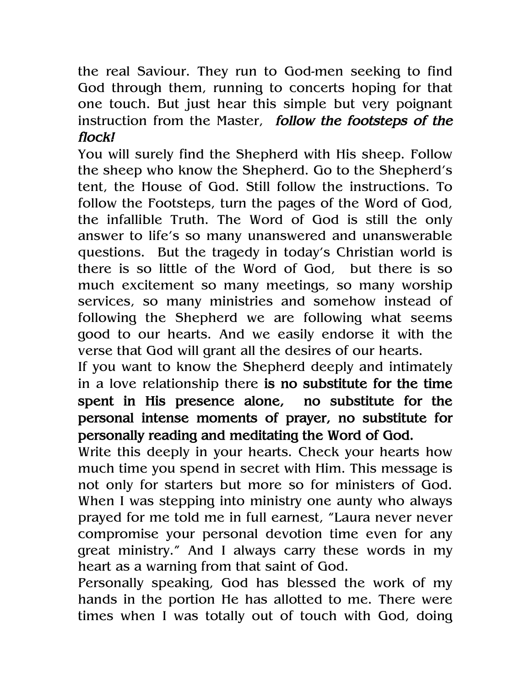the real Saviour. They run to God-men seeking to find God through them, running to concerts hoping for that one touch. But just hear this simple but very poignant instruction from the Master, follow the footsteps of the flock!

You will surely find the Shepherd with His sheep. Follow the sheep who know the Shepherd. Go to the Shepherd's tent, the House of God. Still follow the instructions. To follow the Footsteps, turn the pages of the Word of God, the infallible Truth. The Word of God is still the only answer to life's so many unanswered and unanswerable questions. But the tragedy in today's Christian world is there is so little of the Word of God, but there is so much excitement so many meetings, so many worship services, so many ministries and somehow instead of following the Shepherd we are following what seems good to our hearts. And we easily endorse it with the verse that God will grant all the desires of our hearts.

If you want to know the Shepherd deeply and intimately in a love relationship there is no substitute for the time spent in His presence alone, no substitute for the personal intense moments of prayer, no substitute for personally reading and meditating the Word of God.

Write this deeply in your hearts. Check your hearts how much time you spend in secret with Him. This message is not only for starters but more so for ministers of God. When I was stepping into ministry one aunty who always prayed for me told me in full earnest, "Laura never never compromise your personal devotion time even for any great ministry." And I always carry these words in my heart as a warning from that saint of God.

Personally speaking, God has blessed the work of my hands in the portion He has allotted to me. There were times when I was totally out of touch with God, doing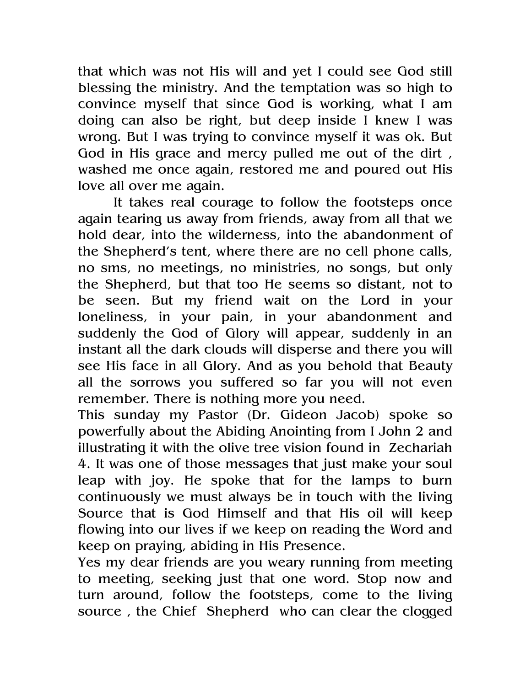that which was not His will and yet I could see God still blessing the ministry. And the temptation was so high to convince myself that since God is working, what I am doing can also be right, but deep inside I knew I was wrong. But I was trying to convince myself it was ok. But God in His grace and mercy pulled me out of the dirt, washed me once again, restored me and poured out His love all over me again.

 It takes real courage to follow the footsteps once again tearing us away from friends, away from all that we hold dear, into the wilderness, into the abandonment of the Shepherd's tent, where there are no cell phone calls, no sms, no meetings, no ministries, no songs, but only the Shepherd, but that too He seems so distant, not to be seen. But my friend wait on the Lord in your loneliness, in your pain, in your abandonment and suddenly the God of Glory will appear, suddenly in an instant all the dark clouds will disperse and there you will see His face in all Glory. And as you behold that Beauty all the sorrows you suffered so far you will not even remember. There is nothing more you need.

This sunday my Pastor (Dr. Gideon Jacob) spoke so powerfully about the Abiding Anointing from I John 2 and illustrating it with the olive tree vision found in Zechariah 4. It was one of those messages that just make your soul leap with joy. He spoke that for the lamps to burn continuously we must always be in touch with the living Source that is God Himself and that His oil will keep flowing into our lives if we keep on reading the Word and keep on praying, abiding in His Presence.

Yes my dear friends are you weary running from meeting to meeting, seeking just that one word. Stop now and turn around, follow the footsteps, come to the living source , the Chief Shepherd who can clear the clogged